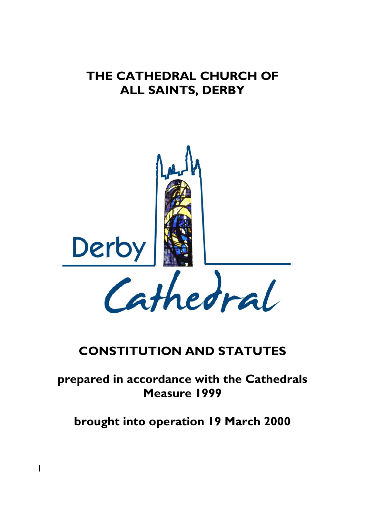# **THE CATHEDRAL CHURCH OF ALL SAINTS, DERBY**



## **CONSTITUTION AND STATUTES**

## **prepared in accordance with the Cathedrals Measure 1999**

**brought into operation 19 March 2000**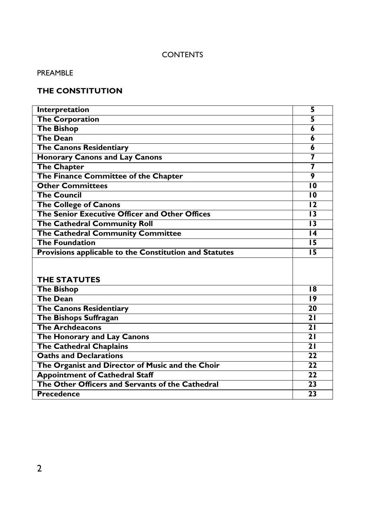## **CONTENTS**

## PREAMBLE

## **THE CONSTITUTION**

| Interpretation                                         | 5               |
|--------------------------------------------------------|-----------------|
| <b>The Corporation</b>                                 | 5               |
| <b>The Bishop</b>                                      | 6               |
| <b>The Dean</b>                                        | 6               |
| <b>The Canons Residentiary</b>                         | 6               |
| <b>Honorary Canons and Lay Canons</b>                  | 7               |
| <b>The Chapter</b>                                     | 7               |
| The Finance Committee of the Chapter                   | 9               |
| <b>Other Committees</b>                                | 10              |
| <b>The Council</b>                                     | 10              |
| <b>The College of Canons</b>                           | 12              |
| The Senior Executive Officer and Other Offices         | 13              |
| The Cathedral Community Roll                           | 13              |
| The Cathedral Community Committee                      | $\overline{14}$ |
| <b>The Foundation</b>                                  | $\overline{15}$ |
| Provisions applicable to the Constitution and Statutes | 15              |
| <b>THE STATUTES</b>                                    |                 |
| <b>The Bishop</b>                                      | 18              |
| <b>The Dean</b>                                        | 19              |
| <b>The Canons Residentiary</b>                         | 20              |
| <b>The Bishops Suffragan</b>                           | $\overline{21}$ |
| <b>The Archdeacons</b>                                 | $\overline{21}$ |
| The Honorary and Lay Canons                            | $\overline{21}$ |
| <b>The Cathedral Chaplains</b>                         | 21              |
| <b>Oaths and Declarations</b>                          | 22              |
| The Organist and Director of Music and the Choir       | $\overline{22}$ |
| <b>Appointment of Cathedral Staff</b>                  | $\overline{22}$ |
| The Other Officers and Servants of the Cathedral       | $\overline{23}$ |
| <b>Precedence</b>                                      | 23              |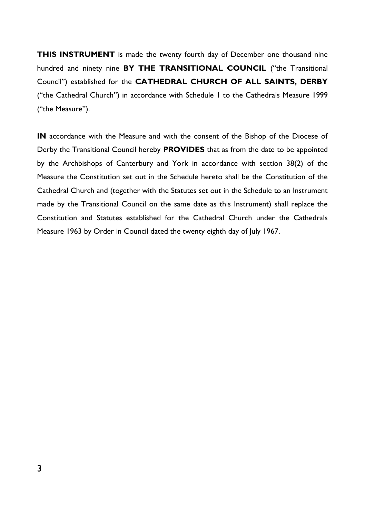**THIS INSTRUMENT** is made the twenty fourth day of December one thousand nine hundred and ninety nine **BY THE TRANSITIONAL COUNCIL** ("the Transitional Council") established for the **CATHEDRAL CHURCH OF ALL SAINTS, DERBY**  ("the Cathedral Church") in accordance with Schedule 1 to the Cathedrals Measure 1999 ("the Measure").

**IN** accordance with the Measure and with the consent of the Bishop of the Diocese of Derby the Transitional Council hereby **PROVIDES** that as from the date to be appointed by the Archbishops of Canterbury and York in accordance with section 38(2) of the Measure the Constitution set out in the Schedule hereto shall be the Constitution of the Cathedral Church and (together with the Statutes set out in the Schedule to an Instrument made by the Transitional Council on the same date as this Instrument) shall replace the Constitution and Statutes established for the Cathedral Church under the Cathedrals Measure 1963 by Order in Council dated the twenty eighth day of July 1967.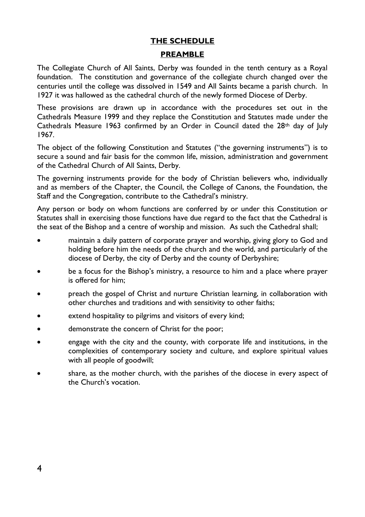#### **THE SCHEDULE**

#### **PREAMBLE**

The Collegiate Church of All Saints, Derby was founded in the tenth century as a Royal foundation. The constitution and governance of the collegiate church changed over the centuries until the college was dissolved in 1549 and All Saints became a parish church. In 1927 it was hallowed as the cathedral church of the newly formed Diocese of Derby.

These provisions are drawn up in accordance with the procedures set out in the Cathedrals Measure 1999 and they replace the Constitution and Statutes made under the Cathedrals Measure 1963 confirmed by an Order in Council dated the  $28<sup>th</sup>$  day of July 1967.

The object of the following Constitution and Statutes ("the governing instruments") is to secure a sound and fair basis for the common life, mission, administration and government of the Cathedral Church of All Saints, Derby.

The governing instruments provide for the body of Christian believers who, individually and as members of the Chapter, the Council, the College of Canons, the Foundation, the Staff and the Congregation, contribute to the Cathedral's ministry.

Any person or body on whom functions are conferred by or under this Constitution or Statutes shall in exercising those functions have due regard to the fact that the Cathedral is the seat of the Bishop and a centre of worship and mission. As such the Cathedral shall;

- maintain a daily pattern of corporate prayer and worship, giving glory to God and holding before him the needs of the church and the world, and particularly of the diocese of Derby, the city of Derby and the county of Derbyshire;
- be a focus for the Bishop's ministry, a resource to him and a place where prayer is offered for him;
- preach the gospel of Christ and nurture Christian learning, in collaboration with other churches and traditions and with sensitivity to other faiths;
- extend hospitality to pilgrims and visitors of every kind;
- demonstrate the concern of Christ for the poor;
- engage with the city and the county, with corporate life and institutions, in the complexities of contemporary society and culture, and explore spiritual values with all people of goodwill;
- share, as the mother church, with the parishes of the diocese in every aspect of the Church's vocation.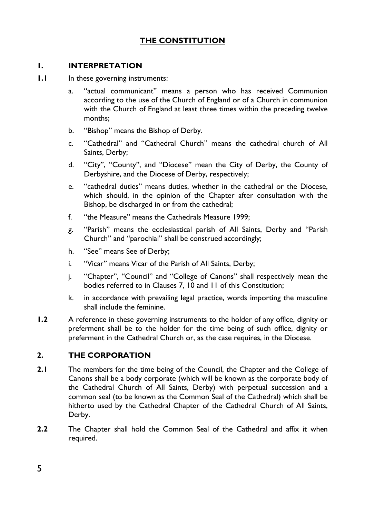## **THE CONSTITUTION**

#### **1. INTERPRETATION**

- **1.1** In these governing instruments:
	- a. "actual communicant" means a person who has received Communion according to the use of the Church of England or of a Church in communion with the Church of England at least three times within the preceding twelve months;
	- b. "Bishop" means the Bishop of Derby.
	- c. "Cathedral" and "Cathedral Church" means the cathedral church of All Saints, Derby;
	- d. "City", "County", and "Diocese" mean the City of Derby, the County of Derbyshire, and the Diocese of Derby, respectively;
	- e. "cathedral duties" means duties, whether in the cathedral or the Diocese, which should, in the opinion of the Chapter after consultation with the Bishop, be discharged in or from the cathedral;
	- f. "the Measure" means the Cathedrals Measure 1999;
	- g. "Parish" means the ecclesiastical parish of All Saints, Derby and "Parish Church" and "parochial" shall be construed accordingly;
	- h. "See" means See of Derby;
	- i. "Vicar" means Vicar of the Parish of All Saints, Derby;
	- j. "Chapter", "Council" and "College of Canons" shall respectively mean the bodies referred to in Clauses 7, 10 and 11 of this Constitution;
	- k. in accordance with prevailing legal practice, words importing the masculine shall include the feminine.
- **1.2** A reference in these governing instruments to the holder of any office, dignity or preferment shall be to the holder for the time being of such office, dignity or preferment in the Cathedral Church or, as the case requires, in the Diocese.

#### **2. THE CORPORATION**

- **2.1** The members for the time being of the Council, the Chapter and the College of Canons shall be a body corporate (which will be known as the corporate body of the Cathedral Church of All Saints, Derby) with perpetual succession and a common seal (to be known as the Common Seal of the Cathedral) which shall be hitherto used by the Cathedral Chapter of the Cathedral Church of All Saints, Derby.
- **2.2** The Chapter shall hold the Common Seal of the Cathedral and affix it when required.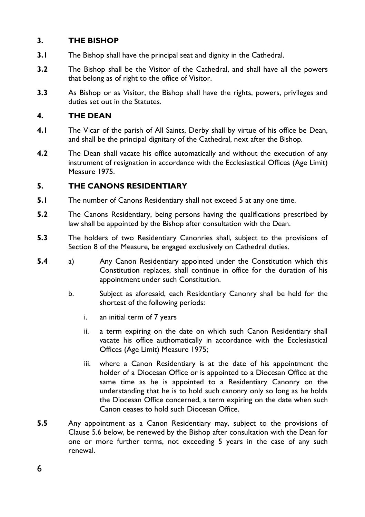## **3. THE BISHOP**

- **3.1** The Bishop shall have the principal seat and dignity in the Cathedral.
- **3.2** The Bishop shall be the Visitor of the Cathedral, and shall have all the powers that belong as of right to the office of Visitor.
- **3.3** As Bishop or as Visitor, the Bishop shall have the rights, powers, privileges and duties set out in the Statutes.

#### **4. THE DEAN**

- **4.1** The Vicar of the parish of All Saints, Derby shall by virtue of his office be Dean, and shall be the principal dignitary of the Cathedral, next after the Bishop.
- **4.2** The Dean shall vacate his office automatically and without the execution of any instrument of resignation in accordance with the Ecclesiastical Offices (Age Limit) Measure 1975.

#### **5. THE CANONS RESIDENTIARY**

- **5.1** The number of Canons Residentiary shall not exceed 5 at any one time.
- **5.2** The Canons Residentiary, being persons having the qualifications prescribed by law shall be appointed by the Bishop after consultation with the Dean.
- **5.3** The holders of two Residentiary Canonries shall, subject to the provisions of Section 8 of the Measure, be engaged exclusively on Cathedral duties.
- **5.4** a) Any Canon Residentiary appointed under the Constitution which this Constitution replaces, shall continue in office for the duration of his appointment under such Constitution.
	- b. Subject as aforesaid, each Residentiary Canonry shall be held for the shortest of the following periods:
		- i. an initial term of 7 years
		- ii. a term expiring on the date on which such Canon Residentiary shall vacate his office authomatically in accordance with the Ecclesiastical Offices (Age Limit) Measure 1975;
		- iii. where a Canon Residentiary is at the date of his appointment the holder of a Diocesan Office or is appointed to a Diocesan Office at the same time as he is appointed to a Residentiary Canonry on the understanding that he is to hold such canonry only so long as he holds the Diocesan Office concerned, a term expiring on the date when such Canon ceases to hold such Diocesan Office.
- **5.5** Any appointment as a Canon Residentiary may, subject to the provisions of Clause 5.6 below, be renewed by the Bishop after consultation with the Dean for one or more further terms, not exceeding 5 years in the case of any such renewal.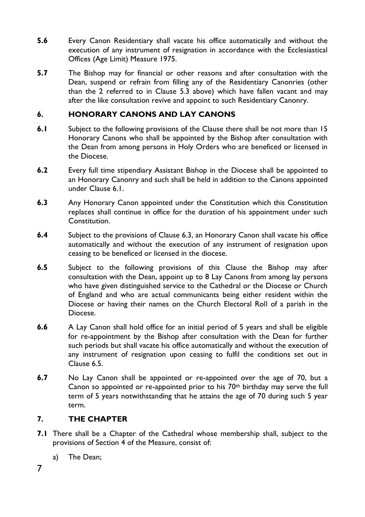- **5.6** Every Canon Residentiary shall vacate his office automatically and without the execution of any instrument of resignation in accordance with the Ecclesiastical Offices (Age Limit) Measure 1975.
- **5.7** The Bishop may for financial or other reasons and after consultation with the Dean, suspend or refrain from filling any of the Residentiary Canonries (other than the 2 referred to in Clause 5.3 above) which have fallen vacant and may after the like consultation revive and appoint to such Residentiary Canonry.

### **6. HONORARY CANONS AND LAY CANONS**

- **6.1** Subject to the following provisions of the Clause there shall be not more than 15 Honorary Canons who shall be appointed by the Bishop after consultation with the Dean from among persons in Holy Orders who are beneficed or licensed in the Diocese.
- **6.2** Every full time stipendiary Assistant Bishop in the Diocese shall be appointed to an Honorary Canonry and such shall be held in addition to the Canons appointed under Clause 6.1.
- **6.3** Any Honorary Canon appointed under the Constitution which this Constitution replaces shall continue in office for the duration of his appointment under such **Constitution**
- **6.4** Subject to the provisions of Clause 6.3, an Honorary Canon shall vacate his office automatically and without the execution of any instrument of resignation upon ceasing to be beneficed or licensed in the diocese.
- **6.5** Subject to the following provisions of this Clause the Bishop may after consultation with the Dean, appoint up to 8 Lay Canons from among lay persons who have given distinguished service to the Cathedral or the Diocese or Church of England and who are actual communicants being either resident within the Diocese or having their names on the Church Electoral Roll of a parish in the Diocese.
- **6.6** A Lay Canon shall hold office for an initial period of 5 years and shall be eligible for re-appointment by the Bishop after consultation with the Dean for further such periods but shall vacate his office automatically and without the execution of any instrument of resignation upon ceasing to fulfil the conditions set out in Clause 6.5.
- **6.7** No Lay Canon shall be appointed or re-appointed over the age of 70, but a Canon so appointed or re-appointed prior to his 70th birthday may serve the full term of 5 years notwithstanding that he attains the age of 70 during such 5 year term.

#### **7. THE CHAPTER**

- **7.1** There shall be a Chapter of the Cathedral whose membership shall, subject to the provisions of Section 4 of the Measure, consist of:
	- a) The Dean;
- 7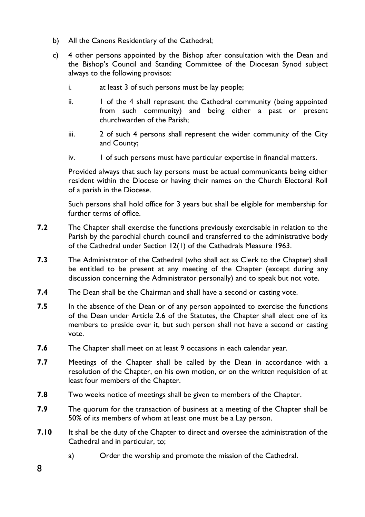- b) All the Canons Residentiary of the Cathedral;
- c) 4 other persons appointed by the Bishop after consultation with the Dean and the Bishop's Council and Standing Committee of the Diocesan Synod subject always to the following provisos:
	- i. at least 3 of such persons must be lay people;
	- ii. 1 of the 4 shall represent the Cathedral community (being appointed from such community) and being either a past or present churchwarden of the Parish;
	- iii. 2 of such 4 persons shall represent the wider community of the City and County;
	- iv. 1 of such persons must have particular expertise in financial matters.

Provided always that such lay persons must be actual communicants being either resident within the Diocese or having their names on the Church Electoral Roll of a parish in the Diocese.

Such persons shall hold office for 3 years but shall be eligible for membership for further terms of office.

- **7.2** The Chapter shall exercise the functions previously exercisable in relation to the Parish by the parochial church council and transferred to the administrative body of the Cathedral under Section 12(1) of the Cathedrals Measure 1963.
- **7.3** The Administrator of the Cathedral (who shall act as Clerk to the Chapter) shall be entitled to be present at any meeting of the Chapter (except during any discussion concerning the Administrator personally) and to speak but not vote.
- **7.4** The Dean shall be the Chairman and shall have a second or casting vote.
- **7.5** In the absence of the Dean or of any person appointed to exercise the functions of the Dean under Article 2.6 of the Statutes, the Chapter shall elect one of its members to preside over it, but such person shall not have a second or casting vote.
- **7.6** The Chapter shall meet on at least 9 occasions in each calendar year.
- **7.7** Meetings of the Chapter shall be called by the Dean in accordance with a resolution of the Chapter, on his own motion, or on the written requisition of at least four members of the Chapter.
- **7.8** Two weeks notice of meetings shall be given to members of the Chapter.
- **7.9** The quorum for the transaction of business at a meeting of the Chapter shall be 50% of its members of whom at least one must be a Lay person.
- **7.10** It shall be the duty of the Chapter to direct and oversee the administration of the Cathedral and in particular, to;
	- a) Order the worship and promote the mission of the Cathedral.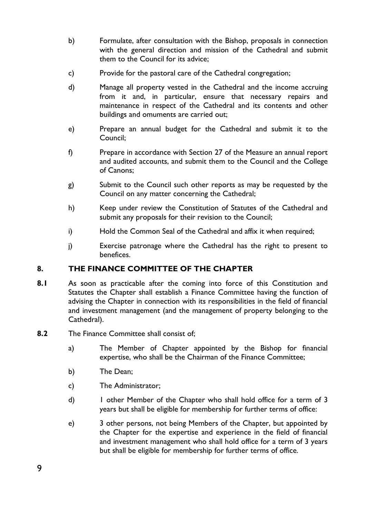- b) Formulate, after consultation with the Bishop, proposals in connection with the general direction and mission of the Cathedral and submit them to the Council for its advice;
- c) Provide for the pastoral care of the Cathedral congregation;
- d) Manage all property vested in the Cathedral and the income accruing from it and, in particular, ensure that necessary repairs and maintenance in respect of the Cathedral and its contents and other buildings and omuments are carried out;
- e) Prepare an annual budget for the Cathedral and submit it to the Council;
- f) Prepare in accordance with Section 27 of the Measure an annual report and audited accounts, and submit them to the Council and the College of Canons;
- g) Submit to the Council such other reports as may be requested by the Council on any matter concerning the Cathedral;
- h) Keep under review the Constitution of Statutes of the Cathedral and submit any proposals for their revision to the Council;
- i) Hold the Common Seal of the Cathedral and affix it when required;
- j) Exercise patronage where the Cathedral has the right to present to benefices.

#### **8. THE FINANCE COMMITTEE OF THE CHAPTER**

- **8.1** As soon as practicable after the coming into force of this Constitution and Statutes the Chapter shall establish a Finance Committee having the function of advising the Chapter in connection with its responsibilities in the field of financial and investment management (and the management of property belonging to the Cathedral).
- **8.2** The Finance Committee shall consist of;
	- a) The Member of Chapter appointed by the Bishop for financial expertise, who shall be the Chairman of the Finance Committee;
	- b) The Dean;
	- c) The Administrator;
	- d) 1 other Member of the Chapter who shall hold office for a term of 3 years but shall be eligible for membership for further terms of office:
	- e) 3 other persons, not being Members of the Chapter, but appointed by the Chapter for the expertise and experience in the field of financial and investment management who shall hold office for a term of 3 years but shall be eligible for membership for further terms of office.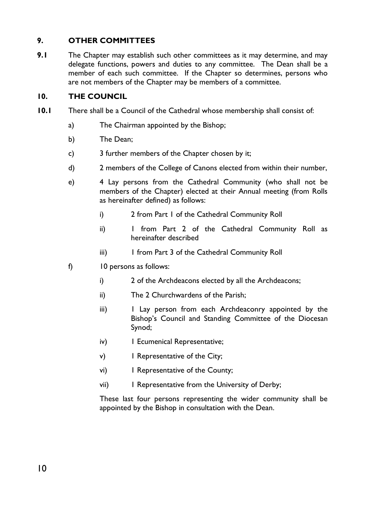## **9. OTHER COMMITTEES**

**9.1** The Chapter may establish such other committees as it may determine, and may delegate functions, powers and duties to any committee. The Dean shall be a member of each such committee. If the Chapter so determines, persons who are not members of the Chapter may be members of a committee.

#### **10. THE COUNCIL**

- **10.1** There shall be a Council of the Cathedral whose membership shall consist of:
	- a) The Chairman appointed by the Bishop;
	- b) The Dean;
	- c) 3 further members of the Chapter chosen by it;
	- d) 2 members of the College of Canons elected from within their number,
	- e) 4 Lay persons from the Cathedral Community (who shall not be members of the Chapter) elected at their Annual meeting (from Rolls as hereinafter defined) as follows:
		- i) 2 from Part 1 of the Cathedral Community Roll
		- ii) 1 from Part 2 of the Cathedral Community Roll as hereinafter described
		- iii) I from Part 3 of the Cathedral Community Roll
	- f) 10 persons as follows:
		- i) 2 of the Archdeacons elected by all the Archdeacons;
		- ii) The 2 Churchwardens of the Parish;
		- iii) 1 Lay person from each Archdeaconry appointed by the Bishop's Council and Standing Committee of the Diocesan Synod;
		- iv) I Ecumenical Representative;
		- v) I Representative of the City;
		- vi) 1 Representative of the County;
		- vii) 1 Representative from the University of Derby;

These last four persons representing the wider community shall be appointed by the Bishop in consultation with the Dean.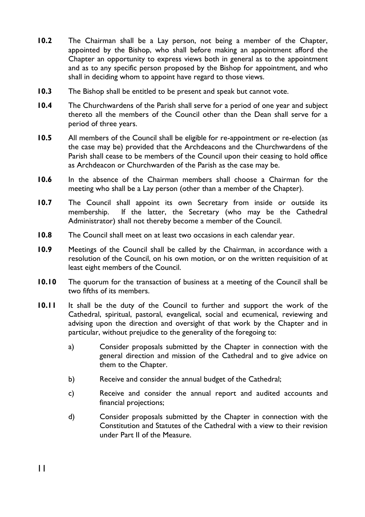- **10.2** The Chairman shall be a Lay person, not being a member of the Chapter, appointed by the Bishop, who shall before making an appointment afford the Chapter an opportunity to express views both in general as to the appointment and as to any specific person proposed by the Bishop for appointment, and who shall in deciding whom to appoint have regard to those views.
- **10.3** The Bishop shall be entitled to be present and speak but cannot vote.
- **10.4** The Churchwardens of the Parish shall serve for a period of one year and subject thereto all the members of the Council other than the Dean shall serve for a period of three years.
- **10.5** All members of the Council shall be eligible for re-appointment or re-election (as the case may be) provided that the Archdeacons and the Churchwardens of the Parish shall cease to be members of the Council upon their ceasing to hold office as Archdeacon or Churchwarden of the Parish as the case may be.
- **10.6** In the absence of the Chairman members shall choose a Chairman for the meeting who shall be a Lay person (other than a member of the Chapter).
- **10.7** The Council shall appoint its own Secretary from inside or outside its membership. If the latter, the Secretary (who may be the Cathedral Administrator) shall not thereby become a member of the Council.
- **10.8** The Council shall meet on at least two occasions in each calendar year.
- **10.9** Meetings of the Council shall be called by the Chairman, in accordance with a resolution of the Council, on his own motion, or on the written requisition of at least eight members of the Council.
- **10.10** The quorum for the transaction of business at a meeting of the Council shall be two fifths of its members.
- **10.11** It shall be the duty of the Council to further and support the work of the Cathedral, spiritual, pastoral, evangelical, social and ecumenical, reviewing and advising upon the direction and oversight of that work by the Chapter and in particular, without prejudice to the generality of the foregoing to:
	- a) Consider proposals submitted by the Chapter in connection with the general direction and mission of the Cathedral and to give advice on them to the Chapter.
	- b) Receive and consider the annual budget of the Cathedral;
	- c) Receive and consider the annual report and audited accounts and financial projections;
	- d) Consider proposals submitted by the Chapter in connection with the Constitution and Statutes of the Cathedral with a view to their revision under Part II of the Measure.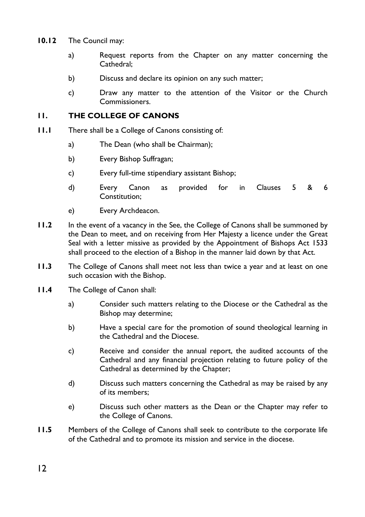- **10.12** The Council may:
	- a) Request reports from the Chapter on any matter concerning the Cathedral;
	- b) Discuss and declare its opinion on any such matter;
	- c) Draw any matter to the attention of the Visitor or the Church Commissioners.

#### **11. THE COLLEGE OF CANONS**

- **11.1** There shall be a College of Canons consisting of:
	- a) The Dean (who shall be Chairman);
	- b) Every Bishop Suffragan;
	- c) Every full-time stipendiary assistant Bishop;
	- d) Every Canon as provided for in Clauses 5 & 6 Constitution;
	- e) Every Archdeacon.
- **11.2** In the event of a vacancy in the See, the College of Canons shall be summoned by the Dean to meet, and on receiving from Her Majesty a licence under the Great Seal with a letter missive as provided by the Appointment of Bishops Act 1533 shall proceed to the election of a Bishop in the manner laid down by that Act.
- **11.3** The College of Canons shall meet not less than twice a year and at least on one such occasion with the Bishop.
- **11.4** The College of Canon shall:
	- a) Consider such matters relating to the Diocese or the Cathedral as the Bishop may determine;
	- b) Have a special care for the promotion of sound theological learning in the Cathedral and the Diocese.
	- c) Receive and consider the annual report, the audited accounts of the Cathedral and any financial projection relating to future policy of the Cathedral as determined by the Chapter;
	- d) Discuss such matters concerning the Cathedral as may be raised by any of its members;
	- e) Discuss such other matters as the Dean or the Chapter may refer to the College of Canons.
- **11.5** Members of the College of Canons shall seek to contribute to the corporate life of the Cathedral and to promote its mission and service in the diocese.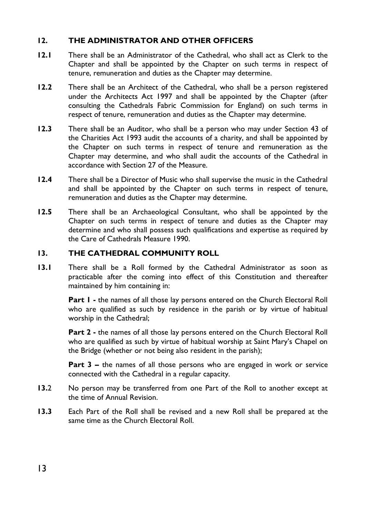### **12. THE ADMINISTRATOR AND OTHER OFFICERS**

- **12.1** There shall be an Administrator of the Cathedral, who shall act as Clerk to the Chapter and shall be appointed by the Chapter on such terms in respect of tenure, remuneration and duties as the Chapter may determine.
- **12.2** There shall be an Architect of the Cathedral, who shall be a person registered under the Architects Act 1997 and shall be appointed by the Chapter (after consulting the Cathedrals Fabric Commission for England) on such terms in respect of tenure, remuneration and duties as the Chapter may determine.
- **12.3** There shall be an Auditor, who shall be a person who may under Section 43 of the Charities Act 1993 audit the accounts of a charity, and shall be appointed by the Chapter on such terms in respect of tenure and remuneration as the Chapter may determine, and who shall audit the accounts of the Cathedral in accordance with Section 27 of the Measure.
- **12.4** There shall be a Director of Music who shall supervise the music in the Cathedral and shall be appointed by the Chapter on such terms in respect of tenure, remuneration and duties as the Chapter may determine.
- **12.5** There shall be an Archaeological Consultant, who shall be appointed by the Chapter on such terms in respect of tenure and duties as the Chapter may determine and who shall possess such qualifications and expertise as required by the Care of Cathedrals Measure 1990.

#### **13. THE CATHEDRAL COMMUNITY ROLL**

**13.1** There shall be a Roll formed by the Cathedral Administrator as soon as practicable after the coming into effect of this Constitution and thereafter maintained by him containing in:

> Part I - the names of all those lay persons entered on the Church Electoral Roll who are qualified as such by residence in the parish or by virtue of habitual worship in the Cathedral;

> **Part 2** - the names of all those lay persons entered on the Church Electoral Roll who are qualified as such by virtue of habitual worship at Saint Mary's Chapel on the Bridge (whether or not being also resident in the parish);

> **Part 3 –** the names of all those persons who are engaged in work or service connected with the Cathedral in a regular capacity.

- **13.**2 No person may be transferred from one Part of the Roll to another except at the time of Annual Revision.
- **13.3** Each Part of the Roll shall be revised and a new Roll shall be prepared at the same time as the Church Electoral Roll.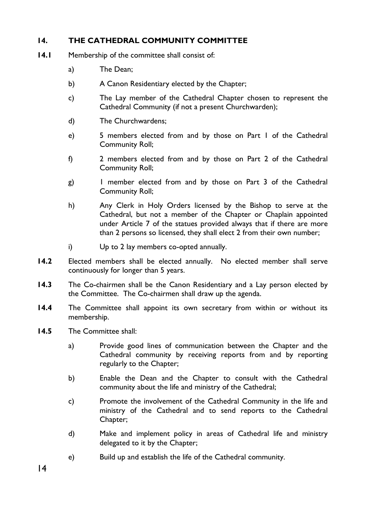## **14. THE CATHEDRAL COMMUNITY COMMITTEE**

- **14.1** Membership of the committee shall consist of:
	- a) The Dean;
	- b) A Canon Residentiary elected by the Chapter;
	- c) The Lay member of the Cathedral Chapter chosen to represent the Cathedral Community (if not a present Churchwarden);
	- d) The Churchwardens;
	- e) 5 members elected from and by those on Part 1 of the Cathedral Community Roll;
	- f) 2 members elected from and by those on Part 2 of the Cathedral Community Roll;
	- g) 1 member elected from and by those on Part 3 of the Cathedral Community Roll;
	- h) Any Clerk in Holy Orders licensed by the Bishop to serve at the Cathedral, but not a member of the Chapter or Chaplain appointed under Article 7 of the statues provided always that if there are more than 2 persons so licensed, they shall elect 2 from their own number;
	- i) Up to 2 lay members co-opted annually.
- **14.2** Elected members shall be elected annually. No elected member shall serve continuously for longer than 5 years.
- **14.3** The Co-chairmen shall be the Canon Residentiary and a Lay person elected by the Committee. The Co-chairmen shall draw up the agenda.
- **14.4** The Committee shall appoint its own secretary from within or without its membership.
- **14.5** The Committee shall:
	- a) Provide good lines of communication between the Chapter and the Cathedral community by receiving reports from and by reporting regularly to the Chapter;
	- b) Enable the Dean and the Chapter to consult with the Cathedral community about the life and ministry of the Cathedral;
	- c) Promote the involvement of the Cathedral Community in the life and ministry of the Cathedral and to send reports to the Cathedral Chapter;
	- d) Make and implement policy in areas of Cathedral life and ministry delegated to it by the Chapter;
	- e) Build up and establish the life of the Cathedral community.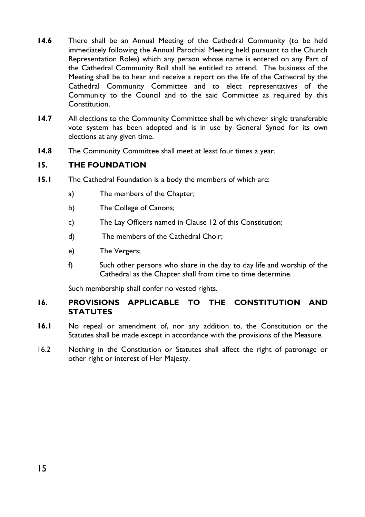- **14.6** There shall be an Annual Meeting of the Cathedral Community (to be held immediately following the Annual Parochial Meeting held pursuant to the Church Representation Roles) which any person whose name is entered on any Part of the Cathedral Community Roll shall be entitled to attend. The business of the Meeting shall be to hear and receive a report on the life of the Cathedral by the Cathedral Community Committee and to elect representatives of the Community to the Council and to the said Committee as required by this Constitution.
- **14.7** All elections to the Community Committee shall be whichever single transferable vote system has been adopted and is in use by General Synod for its own elections at any given time.
- **14.8** The Community Committee shall meet at least four times a year.

#### **15. THE FOUNDATION**

- **15.1** The Cathedral Foundation is a body the members of which are:
	- a) The members of the Chapter;
	- b) The College of Canons:
	- c) The Lay Officers named in Clause 12 of this Constitution;
	- d) The members of the Cathedral Choir;
	- e) The Vergers;
	- f) Such other persons who share in the day to day life and worship of the Cathedral as the Chapter shall from time to time determine.

Such membership shall confer no vested rights.

#### **16. PROVISIONS APPLICABLE TO THE CONSTITUTION AND STATUTES**

- **16.1** No repeal or amendment of, nor any addition to, the Constitution or the Statutes shall be made except in accordance with the provisions of the Measure.
- 16.2 Nothing in the Constitution or Statutes shall affect the right of patronage or other right or interest of Her Majesty.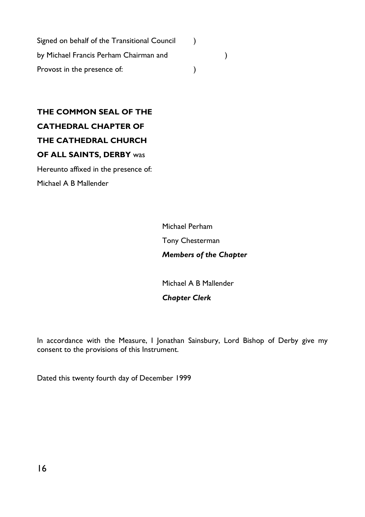Signed on behalf of the Transitional Council (1) by Michael Francis Perham Chairman and ) Provost in the presence of:  $\qquad \qquad$ )

**THE COMMON SEAL OF THE CATHEDRAL CHAPTER OF THE CATHEDRAL CHURCH OF ALL SAINTS, DERBY** was Hereunto affixed in the presence of:

Michael A B Mallender

Michael Perham Tony Chesterman *Members of the Chapter*

Michael A B Mallender

*Chapter Clerk*

In accordance with the Measure, I Jonathan Sainsbury, Lord Bishop of Derby give my consent to the provisions of this Instrument.

Dated this twenty fourth day of December 1999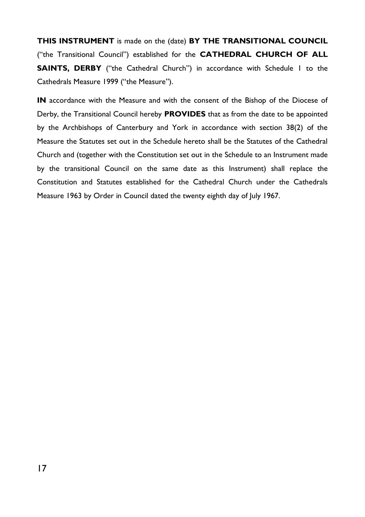**THIS INSTRUMENT** is made on the (date) **BY THE TRANSITIONAL COUNCIL**  ("the Transitional Council") established for the **CATHEDRAL CHURCH OF ALL SAINTS, DERBY** ("the Cathedral Church") in accordance with Schedule 1 to the Cathedrals Measure 1999 ("the Measure").

**IN** accordance with the Measure and with the consent of the Bishop of the Diocese of Derby, the Transitional Council hereby **PROVIDES** that as from the date to be appointed by the Archbishops of Canterbury and York in accordance with section 38(2) of the Measure the Statutes set out in the Schedule hereto shall be the Statutes of the Cathedral Church and (together with the Constitution set out in the Schedule to an Instrument made by the transitional Council on the same date as this Instrument) shall replace the Constitution and Statutes established for the Cathedral Church under the Cathedrals Measure 1963 by Order in Council dated the twenty eighth day of July 1967.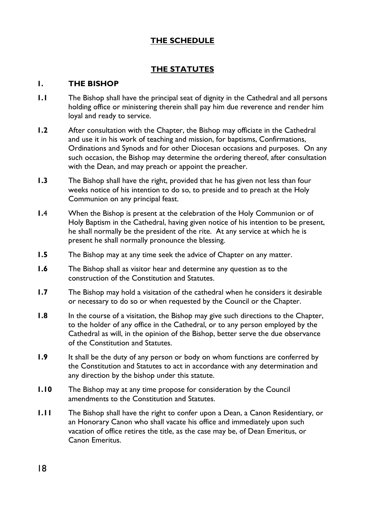## **THE SCHEDULE**

## **THE STATUTES**

#### **1. THE BISHOP**

- **1.1** The Bishop shall have the principal seat of dignity in the Cathedral and all persons holding office or ministering therein shall pay him due reverence and render him loyal and ready to service.
- **1.2** After consultation with the Chapter, the Bishop may officiate in the Cathedral and use it in his work of teaching and mission, for baptisms, Confirmations, Ordinations and Synods and for other Diocesan occasions and purposes. On any such occasion, the Bishop may determine the ordering thereof, after consultation with the Dean, and may preach or appoint the preacher.
- **1.3** The Bishop shall have the right, provided that he has given not less than four weeks notice of his intention to do so, to preside and to preach at the Holy Communion on any principal feast.
- **1.**4 When the Bishop is present at the celebration of the Holy Communion or of Holy Baptism in the Cathedral, having given notice of his intention to be present, he shall normally be the president of the rite. At any service at which he is present he shall normally pronounce the blessing.
- **1.5** The Bishop may at any time seek the advice of Chapter on any matter.
- **1.6** The Bishop shall as visitor hear and determine any question as to the construction of the Constitution and Statutes.
- **1.7** The Bishop may hold a visitation of the cathedral when he considers it desirable or necessary to do so or when requested by the Council or the Chapter.
- **1.8** In the course of a visitation, the Bishop may give such directions to the Chapter, to the holder of any office in the Cathedral, or to any person employed by the Cathedral as will, in the opinion of the Bishop, better serve the due observance of the Constitution and Statutes.
- **1.9** It shall be the duty of any person or body on whom functions are conferred by the Constitution and Statutes to act in accordance with any determination and any direction by the bishop under this statute.
- **1.10** The Bishop may at any time propose for consideration by the Council amendments to the Constitution and Statutes.
- **1.11** The Bishop shall have the right to confer upon a Dean, a Canon Residentiary, or an Honorary Canon who shall vacate his office and immediately upon such vacation of office retires the title, as the case may be, of Dean Emeritus, or Canon Emeritus.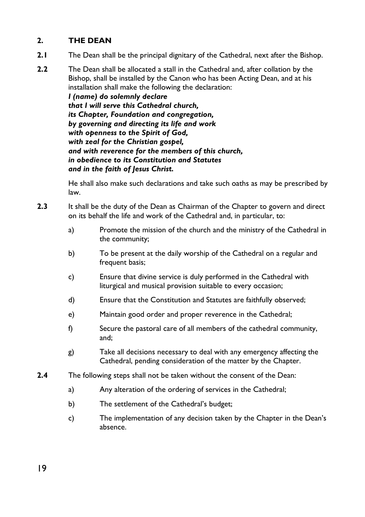## **2. THE DEAN**

- **2.1** The Dean shall be the principal dignitary of the Cathedral, next after the Bishop.
- **2.2** The Dean shall be allocated a stall in the Cathedral and, after collation by the Bishop, shall be installed by the Canon who has been Acting Dean, and at his installation shall make the following the declaration:

*I (name) do solemnly declare that I will serve this Cathedral church, its Chapter, Foundation and congregation, by governing and directing its life and work with openness to the Spirit of God, with zeal for the Christian gospel, and with reverence for the members of this church, in obedience to its Constitution and Statutes and in the faith of Jesus Christ.*

He shall also make such declarations and take such oaths as may be prescribed by law.

- **2.3** It shall be the duty of the Dean as Chairman of the Chapter to govern and direct on its behalf the life and work of the Cathedral and, in particular, to:
	- a) Promote the mission of the church and the ministry of the Cathedral in the community;
	- b) To be present at the daily worship of the Cathedral on a regular and frequent basis;
	- c) Ensure that divine service is duly performed in the Cathedral with liturgical and musical provision suitable to every occasion;
	- d) Ensure that the Constitution and Statutes are faithfully observed;
	- e) Maintain good order and proper reverence in the Cathedral;
	- f) Secure the pastoral care of all members of the cathedral community, and;
	- g) Take all decisions necessary to deal with any emergency affecting the Cathedral, pending consideration of the matter by the Chapter.
- **2.4** The following steps shall not be taken without the consent of the Dean:
	- a) Any alteration of the ordering of services in the Cathedral;
	- b) The settlement of the Cathedral's budget;
	- c) The implementation of any decision taken by the Chapter in the Dean's absence.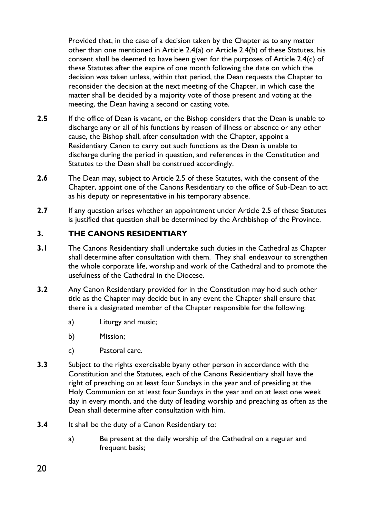Provided that, in the case of a decision taken by the Chapter as to any matter other than one mentioned in Article 2.4(a) or Article 2.4(b) of these Statutes, his consent shall be deemed to have been given for the purposes of Article 2.4(c) of these Statutes after the expire of one month following the date on which the decision was taken unless, within that period, the Dean requests the Chapter to reconsider the decision at the next meeting of the Chapter, in which case the matter shall be decided by a majority vote of those present and voting at the meeting, the Dean having a second or casting vote.

- **2.5** If the office of Dean is vacant, or the Bishop considers that the Dean is unable to discharge any or all of his functions by reason of illness or absence or any other cause, the Bishop shall, after consultation with the Chapter, appoint a Residentiary Canon to carry out such functions as the Dean is unable to discharge during the period in question, and references in the Constitution and Statutes to the Dean shall be construed accordingly.
- **2.6** The Dean may, subject to Article 2.5 of these Statutes, with the consent of the Chapter, appoint one of the Canons Residentiary to the office of Sub-Dean to act as his deputy or representative in his temporary absence.
- **2.7** If any question arises whether an appointment under Article 2.5 of these Statutes is justified that question shall be determined by the Archbishop of the Province.

#### **3. THE CANONS RESIDENTIARY**

- **3.1** The Canons Residentiary shall undertake such duties in the Cathedral as Chapter shall determine after consultation with them. They shall endeavour to strengthen the whole corporate life, worship and work of the Cathedral and to promote the usefulness of the Cathedral in the Diocese.
- **3.2** Any Canon Residentiary provided for in the Constitution may hold such other title as the Chapter may decide but in any event the Chapter shall ensure that there is a designated member of the Chapter responsible for the following:
	- a) Liturgy and music;
	- b) Mission;
	- c) Pastoral care.
- **3.3** Subject to the rights exercisable byany other person in accordance with the Constitution and the Statutes, each of the Canons Residentiary shall have the right of preaching on at least four Sundays in the year and of presiding at the Holy Communion on at least four Sundays in the year and on at least one week day in every month, and the duty of leading worship and preaching as often as the Dean shall determine after consultation with him.
- **3.4** It shall be the duty of a Canon Residentiary to:
	- a) Be present at the daily worship of the Cathedral on a regular and frequent basis;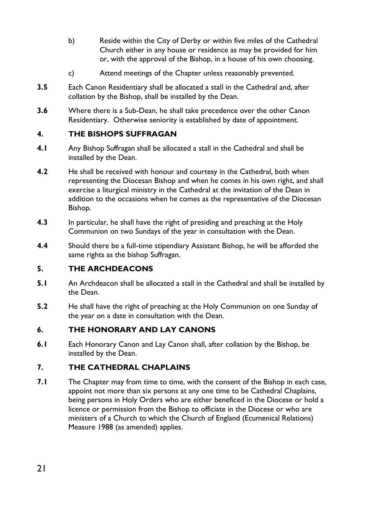- b) Reside within the City of Derby or within five miles of the Cathedral Church either in any house or residence as may be provided for him or, with the approval of the Bishop, in a house of his own choosing.
- c) Attend meetings of the Chapter unless reasonably prevented.
- **3.5** Each Canon Residentiary shall be allocated a stall in the Cathedral and, after collation by the Bishop, shall be installed by the Dean.
- **3.6** Where there is a Sub-Dean, he shall take precedence over the other Canon Residentiary. Otherwise seniority is established by date of appointment.

## **4. THE BISHOPS SUFFRAGAN**

- **4.1** Any Bishop Suffragan shall be allocated a stall in the Cathedral and shall be installed by the Dean.
- **4.2** He shall be received with honour and courtesy in the Cathedral, both when representing the Diocesan Bishop and when he comes in his own right, and shall exercise a liturgical ministry in the Cathedral at the invitation of the Dean in addition to the occasions when he comes as the representative of the Diocesan Bishop.
- **4.3** In particular, he shall have the right of presiding and preaching at the Holy Communion on two Sundays of the year in consultation with the Dean.
- **4.4** Should there be a full-time stipendiary Assistant Bishop, he will be afforded the same rights as the bishop Suffragan.

## **5. THE ARCHDEACONS**

- **5.1** An Archdeacon shall be allocated a stall in the Cathedral and shall be installed by the Dean.
- **5.2** He shall have the right of preaching at the Holy Communion on one Sunday of the year on a date in consultation with the Dean.

## **6. THE HONORARY AND LAY CANONS**

**6.1** Each Honorary Canon and Lay Canon shall, after collation by the Bishop, be installed by the Dean.

## **7. THE CATHEDRAL CHAPLAINS**

**7.1** The Chapter may from time to time, with the consent of the Bishop in each case, appoint not more than six persons at any one time to be Cathedral Chaplains, being persons in Holy Orders who are either beneficed in the Diocese or hold a licence or permission from the Bishop to officiate in the Diocese or who are ministers of a Church to which the Church of England (Ecumenical Relations) Measure 1988 (as amended) applies.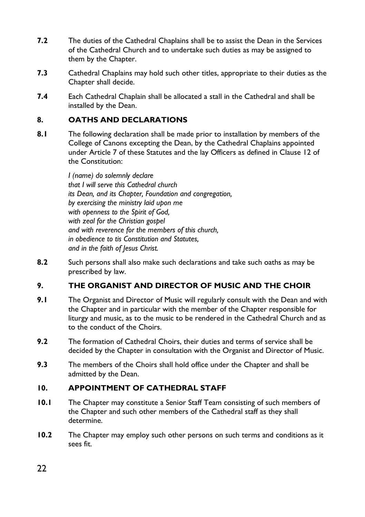- **7.2** The duties of the Cathedral Chaplains shall be to assist the Dean in the Services of the Cathedral Church and to undertake such duties as may be assigned to them by the Chapter.
- **7.3** Cathedral Chaplains may hold such other titles, appropriate to their duties as the Chapter shall decide.
- **7.4** Each Cathedral Chaplain shall be allocated a stall in the Cathedral and shall be installed by the Dean.

#### **8. OATHS AND DECLARATIONS**

**8.1** The following declaration shall be made prior to installation by members of the College of Canons excepting the Dean, by the Cathedral Chaplains appointed under Article 7 of these Statutes and the lay Officers as defined in Clause 12 of the Constitution:

> *I (name) do solemnly declare that I will serve this Cathedral church its Dean, and its Chapter, Foundation and congregation, by exercising the ministry laid upon me with openness to the Spirit of God, with zeal for the Christian gospel and with reverence for the members of this church, in obedience to tis Constitution and Statutes, and in the faith of Jesus Christ.*

**8.2** Such persons shall also make such declarations and take such oaths as may be prescribed by law.

#### **9. THE ORGANIST AND DIRECTOR OF MUSIC AND THE CHOIR**

- **9.1** The Organist and Director of Music will regularly consult with the Dean and with the Chapter and in particular with the member of the Chapter responsible for liturgy and music, as to the music to be rendered in the Cathedral Church and as to the conduct of the Choirs.
- **9.2** The formation of Cathedral Choirs, their duties and terms of service shall be decided by the Chapter in consultation with the Organist and Director of Music.
- **9.3** The members of the Choirs shall hold office under the Chapter and shall be admitted by the Dean.

## **10. APPOINTMENT OF CATHEDRAL STAFF**

- **10.1** The Chapter may constitute a Senior Staff Team consisting of such members of the Chapter and such other members of the Cathedral staff as they shall determine.
- **10.2** The Chapter may employ such other persons on such terms and conditions as it sees fit.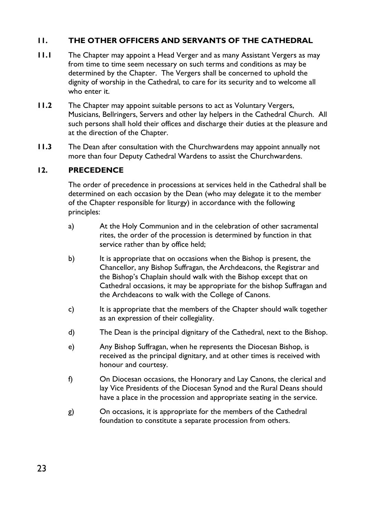## **11. THE OTHER OFFICERS AND SERVANTS OF THE CATHEDRAL**

- **11.1** The Chapter may appoint a Head Verger and as many Assistant Vergers as may from time to time seem necessary on such terms and conditions as may be determined by the Chapter. The Vergers shall be concerned to uphold the dignity of worship in the Cathedral, to care for its security and to welcome all who enter it.
- **11.2** The Chapter may appoint suitable persons to act as Voluntary Vergers, Musicians, Bellringers, Servers and other lay helpers in the Cathedral Church. All such persons shall hold their offices and discharge their duties at the pleasure and at the direction of the Chapter.
- **11.3** The Dean after consultation with the Churchwardens may appoint annually not more than four Deputy Cathedral Wardens to assist the Churchwardens.

#### **12. PRECEDENCE**

The order of precedence in processions at services held in the Cathedral shall be determined on each occasion by the Dean (who may delegate it to the member of the Chapter responsible for liturgy) in accordance with the following principles:

- a) At the Holy Communion and in the celebration of other sacramental rites, the order of the procession is determined by function in that service rather than by office held;
- b) It is appropriate that on occasions when the Bishop is present, the Chancellor, any Bishop Suffragan, the Archdeacons, the Registrar and the Bishop's Chaplain should walk with the Bishop except that on Cathedral occasions, it may be appropriate for the bishop Suffragan and the Archdeacons to walk with the College of Canons.
- c) It is appropriate that the members of the Chapter should walk together as an expression of their collegiality.
- d) The Dean is the principal dignitary of the Cathedral, next to the Bishop.
- e) Any Bishop Suffragan, when he represents the Diocesan Bishop, is received as the principal dignitary, and at other times is received with honour and courtesy.
- f) On Diocesan occasions, the Honorary and Lay Canons, the clerical and lay Vice Presidents of the Diocesan Synod and the Rural Deans should have a place in the procession and appropriate seating in the service.
- g) On occasions, it is appropriate for the members of the Cathedral foundation to constitute a separate procession from others.